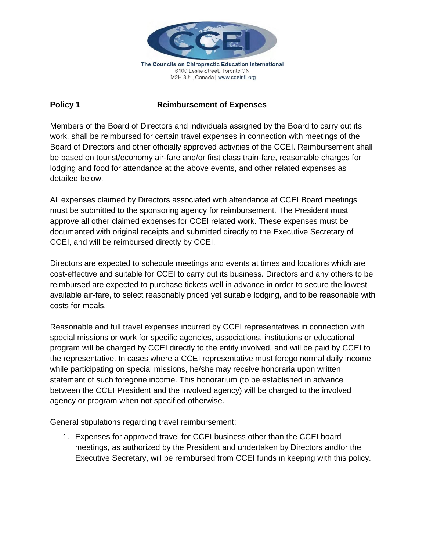

The Councils on Chiropractic Education International 6100 Leslie Street, Toronto ON M2H 3J1, Canada | www.cceintl.org

## **Policy 1 Reimbursement of Expenses**

Members of the Board of Directors and individuals assigned by the Board to carry out its work, shall be reimbursed for certain travel expenses in connection with meetings of the Board of Directors and other officially approved activities of the CCEI. Reimbursement shall be based on tourist/economy air-fare and/or first class train-fare, reasonable charges for lodging and food for attendance at the above events, and other related expenses as detailed below.

All expenses claimed by Directors associated with attendance at CCEI Board meetings must be submitted to the sponsoring agency for reimbursement. The President must approve all other claimed expenses for CCEI related work. These expenses must be documented with original receipts and submitted directly to the Executive Secretary of CCEI, and will be reimbursed directly by CCEI.

Directors are expected to schedule meetings and events at times and locations which are cost-effective and suitable for CCEI to carry out its business. Directors and any others to be reimbursed are expected to purchase tickets well in advance in order to secure the lowest available air-fare, to select reasonably priced yet suitable lodging, and to be reasonable with costs for meals.

Reasonable and full travel expenses incurred by CCEI representatives in connection with special missions or work for specific agencies, associations, institutions or educational program will be charged by CCEI directly to the entity involved, and will be paid by CCEI to the representative. In cases where a CCEI representative must forego normal daily income while participating on special missions, he/she may receive honoraria upon written statement of such foregone income. This honorarium (to be established in advance between the CCEI President and the involved agency) will be charged to the involved agency or program when not specified otherwise.

General stipulations regarding travel reimbursement:

1. Expenses for approved travel for CCEI business other than the CCEI board meetings, as authorized by the President and undertaken by Directors and**/**or the Executive Secretary, will be reimbursed from CCEI funds in keeping with this policy.